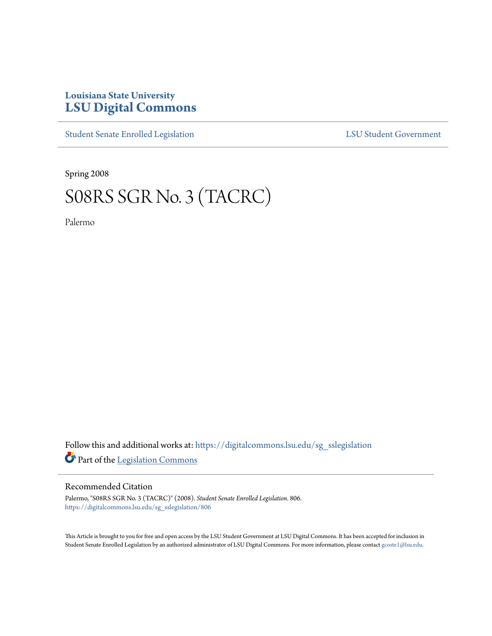## **Louisiana State University [LSU Digital Commons](https://digitalcommons.lsu.edu?utm_source=digitalcommons.lsu.edu%2Fsg_sslegislation%2F806&utm_medium=PDF&utm_campaign=PDFCoverPages)**

[Student Senate Enrolled Legislation](https://digitalcommons.lsu.edu/sg_sslegislation?utm_source=digitalcommons.lsu.edu%2Fsg_sslegislation%2F806&utm_medium=PDF&utm_campaign=PDFCoverPages) [LSU Student Government](https://digitalcommons.lsu.edu/sg?utm_source=digitalcommons.lsu.edu%2Fsg_sslegislation%2F806&utm_medium=PDF&utm_campaign=PDFCoverPages)

Spring 2008

## S08RS SGR No. 3 (TACRC)

Palermo

Follow this and additional works at: [https://digitalcommons.lsu.edu/sg\\_sslegislation](https://digitalcommons.lsu.edu/sg_sslegislation?utm_source=digitalcommons.lsu.edu%2Fsg_sslegislation%2F806&utm_medium=PDF&utm_campaign=PDFCoverPages) Part of the [Legislation Commons](http://network.bepress.com/hgg/discipline/859?utm_source=digitalcommons.lsu.edu%2Fsg_sslegislation%2F806&utm_medium=PDF&utm_campaign=PDFCoverPages)

## Recommended Citation

Palermo, "S08RS SGR No. 3 (TACRC)" (2008). *Student Senate Enrolled Legislation*. 806. [https://digitalcommons.lsu.edu/sg\\_sslegislation/806](https://digitalcommons.lsu.edu/sg_sslegislation/806?utm_source=digitalcommons.lsu.edu%2Fsg_sslegislation%2F806&utm_medium=PDF&utm_campaign=PDFCoverPages)

This Article is brought to you for free and open access by the LSU Student Government at LSU Digital Commons. It has been accepted for inclusion in Student Senate Enrolled Legislation by an authorized administrator of LSU Digital Commons. For more information, please contact [gcoste1@lsu.edu.](mailto:gcoste1@lsu.edu)